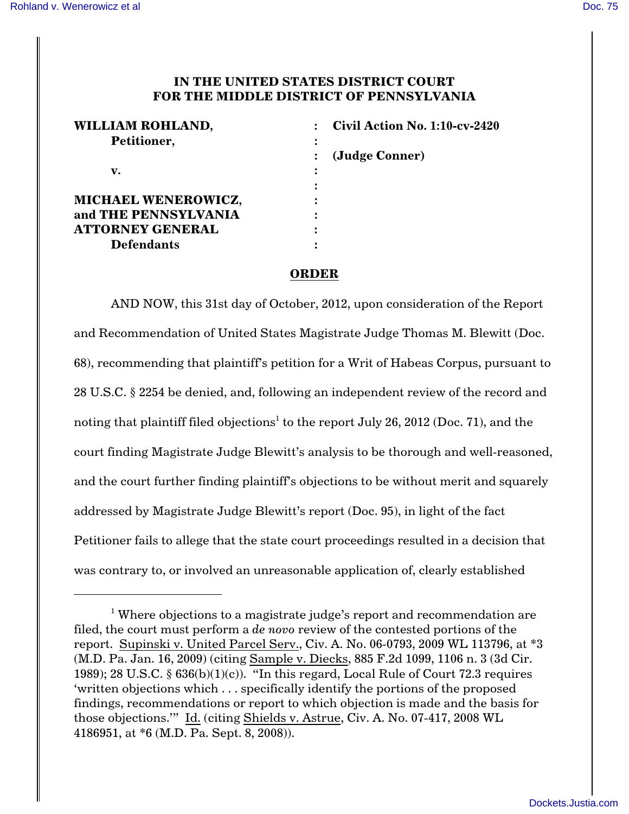## **IN THE UNITED STATES DISTRICT COURT FOR THE MIDDLE DISTRICT OF PENNSYLVANIA**

| WILLIAM ROHLAND,           | Civil Action No. 1:10-cv-2420 |
|----------------------------|-------------------------------|
| Petitioner,                |                               |
|                            | (Judge Conner)                |
| v.                         |                               |
|                            |                               |
| <b>MICHAEL WENEROWICZ,</b> |                               |
| and THE PENNSYLVANIA       |                               |
| <b>ATTORNEY GENERAL</b>    |                               |
| <b>Defendants</b>          |                               |

## **ORDER**

AND NOW, this 31st day of October, 2012, upon consideration of the Report and Recommendation of United States Magistrate Judge Thomas M. Blewitt (Doc. 68), recommending that plaintiff's petition for a Writ of Habeas Corpus, pursuant to 28 U.S.C. § 2254 be denied, and, following an independent review of the record and noting that plaintiff filed objections $^{\rm l}$  to the report July 26, 2012 (Doc. 71), and the court finding Magistrate Judge Blewitt's analysis to be thorough and well-reasoned, and the court further finding plaintiff's objections to be without merit and squarely addressed by Magistrate Judge Blewitt's report (Doc. 95), in light of the fact Petitioner fails to allege that the state court proceedings resulted in a decision that was contrary to, or involved an unreasonable application of, clearly established

<sup>&</sup>lt;sup>1</sup> Where objections to a magistrate judge's report and recommendation are filed, the court must perform a *de novo* review of the contested portions of the report. Supinski v. United Parcel Serv., Civ. A. No. 06-0793, 2009 WL 113796, at \*3 (M.D. Pa. Jan. 16, 2009) (citing Sample v. Diecks, 885 F.2d 1099, 1106 n. 3 (3d Cir. 1989); 28 U.S.C.  $\S 636(b)(1)(c)$ . "In this regard, Local Rule of Court 72.3 requires 'written objections which . . . specifically identify the portions of the proposed findings, recommendations or report to which objection is made and the basis for those objections.'" Id. (citing Shields v. Astrue, Civ. A. No. 07-417, 2008 WL 4186951, at \*6 (M.D. Pa. Sept. 8, 2008)).